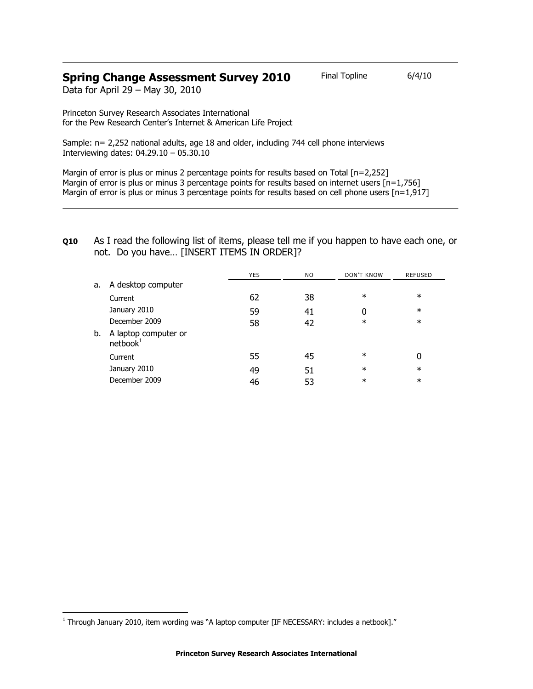# **Spring Change Assessment Survey 2010** Final Topline 6/4/10

Data for April 29 – May 30, 2010

Princeton Survey Research Associates International for the Pew Research Center's Internet & American Life Project

Sample: n= 2,252 national adults, age 18 and older, including 744 cell phone interviews Interviewing dates: 04.29.10 – 05.30.10

Margin of error is plus or minus 2 percentage points for results based on Total [n=2,252] Margin of error is plus or minus 3 percentage points for results based on internet users [n=1,756] Margin of error is plus or minus 3 percentage points for results based on cell phone users  $[n=1,917]$ 

## **Q10** As I read the following list of items, please tell me if you happen to have each one, or not. Do you have… [INSERT ITEMS IN ORDER]?

|    |                                              | <b>YES</b> | N <sub>O</sub> | <b>DON'T KNOW</b> | <b>REFUSED</b> |
|----|----------------------------------------------|------------|----------------|-------------------|----------------|
| a. | A desktop computer                           |            |                |                   |                |
|    | Current                                      | 62         | 38             | $\ast$            | $\ast$         |
|    | January 2010                                 | 59         | 41             | 0                 | $\ast$         |
|    | December 2009                                | 58         | 42             | $\ast$            | $\ast$         |
| b. | A laptop computer or<br>netbook <sup>1</sup> |            |                |                   |                |
|    | Current                                      | 55         | 45             | $\ast$            | 0              |
|    | January 2010                                 | 49         | 51             | $\ast$            | $\ast$         |
|    | December 2009                                | 46         | 53             | $\ast$            | $\ast$         |

j

<sup>1</sup> Through January 2010, item wording was "A laptop computer [IF NECESSARY: includes a netbook]."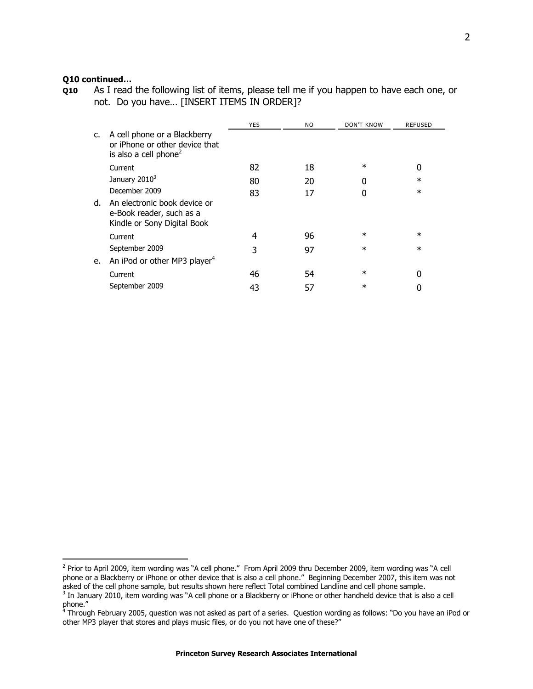### **Q10 continued…**

j

**Q10** As I read the following list of items, please tell me if you happen to have each one, or not. Do you have… [INSERT ITEMS IN ORDER]?

|    |                                                                                                     | <b>YES</b> | N <sub>O</sub> | <b>DON'T KNOW</b> | <b>REFUSED</b> |
|----|-----------------------------------------------------------------------------------------------------|------------|----------------|-------------------|----------------|
| c. | A cell phone or a Blackberry<br>or iPhone or other device that<br>is also a cell phone <sup>2</sup> |            |                |                   |                |
|    | Current                                                                                             | 82         | 18             | $\ast$            | 0              |
|    | January 2010 <sup>3</sup>                                                                           | 80         | 20             |                   | $\ast$         |
|    | December 2009                                                                                       | 83         | 17             |                   | $\ast$         |
| d. | An electronic book device or<br>e-Book reader, such as a<br>Kindle or Sony Digital Book             |            |                |                   |                |
|    | Current                                                                                             | 4          | 96             | $\ast$            | $\ast$         |
|    | September 2009                                                                                      | 3          | 97             | $\ast$            | $\ast$         |
| e. | An iPod or other MP3 player <sup>4</sup>                                                            |            |                |                   |                |
|    | Current                                                                                             | 46         | 54             | $\ast$            | 0              |
|    | September 2009                                                                                      | 43         | 57             | $\ast$            |                |
|    |                                                                                                     |            |                |                   |                |

<sup>&</sup>lt;sup>2</sup> Prior to April 2009, item wording was "A cell phone." From April 2009 thru December 2009, item wording was "A cell phone or a Blackberry or iPhone or other device that is also a cell phone." Beginning December 2007, this item was not asked of the cell phone sample, but results shown here reflect Total combined Landline and cell phone sample.

 $3$  In January 2010, item wording was "A cell phone or a Blackberry or iPhone or other handheld device that is also a cell

phone." 4 Through February 2005, question was not asked as part of a series. Question wording as follows: "Do you have an iPod or other MP3 player that stores and plays music files, or do you not have one of these?"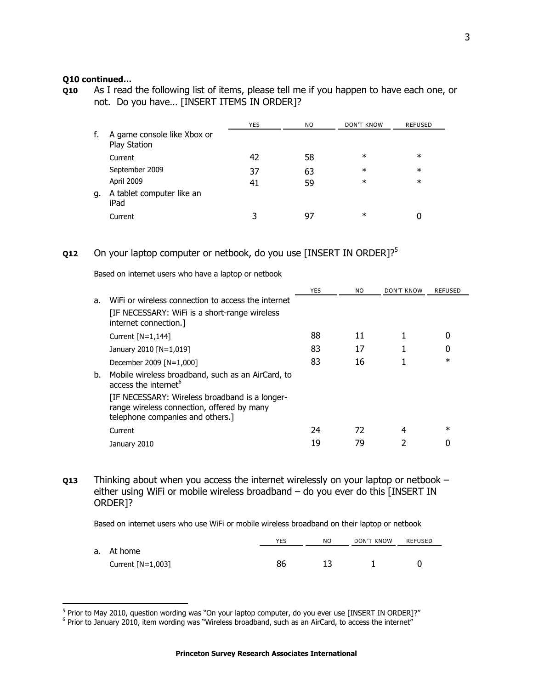#### **Q10 continued…**

 $\overline{a}$ 

**Q10** As I read the following list of items, please tell me if you happen to have each one, or not. Do you have… [INSERT ITEMS IN ORDER]?

|    |                                             | <b>YES</b> | N <sub>O</sub> | <b>DON'T KNOW</b> | <b>REFUSED</b> |
|----|---------------------------------------------|------------|----------------|-------------------|----------------|
| f. | A game console like Xbox or<br>Play Station |            |                |                   |                |
|    | Current                                     | 42         | 58             | $\ast$            | $\ast$         |
|    | September 2009                              | 37         | 63             | $\ast$            | $\ast$         |
|    | April 2009                                  | 41         | 59             | $\ast$            | $\ast$         |
| g. | A tablet computer like an<br>iPad           |            |                |                   |                |
|    | Current                                     | 3          | 97             | $\ast$            |                |

# **Q12** On your laptop computer or netbook, do you use [INSERT IN ORDER]?<sup>5</sup>

Based on internet users who have a laptop or netbook

|    |                                                                                                                                  | <b>YES</b> | NO. | DON'T KNOW | <b>REFUSED</b> |
|----|----------------------------------------------------------------------------------------------------------------------------------|------------|-----|------------|----------------|
| a. | WiFi or wireless connection to access the internet                                                                               |            |     |            |                |
|    | [IF NECESSARY: WiFi is a short-range wireless<br>internet connection.                                                            |            |     |            |                |
|    | Current $[N=1,144]$                                                                                                              | 88         | 11  |            |                |
|    | January 2010 [N=1,019]                                                                                                           | 83         | 17  |            |                |
|    | December 2009 [N=1,000]                                                                                                          | 83         | 16  |            | $^\star$       |
| b. | Mobile wireless broadband, such as an AirCard, to<br>access the internet <sup>6</sup>                                            |            |     |            |                |
|    | [IF NECESSARY: Wireless broadband is a longer-<br>range wireless connection, offered by many<br>telephone companies and others.] |            |     |            |                |
|    | Current                                                                                                                          | 24         | 72  | 4          | $^\star$       |
|    | January 2010                                                                                                                     | 19         | 79  |            |                |
|    |                                                                                                                                  |            |     |            |                |

**Q13** Thinking about when you access the internet wirelessly on your laptop or netbook – either using WiFi or mobile wireless broadband – do you ever do this [INSERT IN ORDER]?

Based on internet users who use WiFi or mobile wireless broadband on their laptop or netbook

|                     | <b>YES</b> | NO | DON'T KNOW | REFUSED |
|---------------------|------------|----|------------|---------|
| a. At home          |            |    |            |         |
| Current $[N=1,003]$ | 86         |    |            |         |

<sup>&</sup>lt;sup>5</sup> Prior to May 2010, question wording was "On your laptop computer, do you ever use [INSERT IN ORDER]?"

<sup>&</sup>lt;sup>6</sup> Prior to January 2010, item wording was "Wireless broadband, such as an AirCard, to access the internet"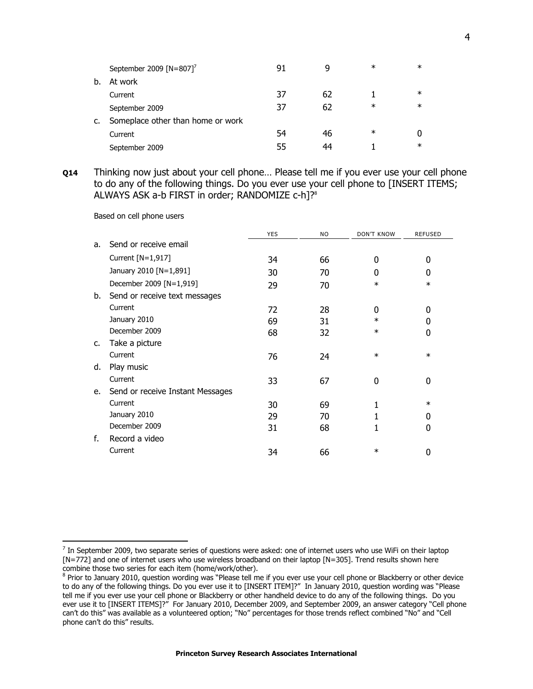|    | September 2009 [N=807] <sup>7</sup> | 91 | q  | ∗ | $\ast$ |
|----|-------------------------------------|----|----|---|--------|
| b. | At work                             |    |    |   |        |
|    | Current                             | 37 | 62 |   | $\ast$ |
|    | September 2009                      | 37 | 62 | ∗ | $\ast$ |
| C. | Someplace other than home or work   |    |    |   |        |
|    | Current                             | 54 | 46 | ∗ |        |
|    | September 2009                      | 55 | 44 |   | $\ast$ |

**Q14** Thinking now just about your cell phone… Please tell me if you ever use your cell phone to do any of the following things. Do you ever use your cell phone to [INSERT ITEMS; ALWAYS ASK a-b FIRST in order; RANDOMIZE c-h]?<sup>8</sup>

Based on cell phone users

j

|    |                                  | YES | <b>NO</b> | <b>DON'T KNOW</b> | <b>REFUSED</b> |
|----|----------------------------------|-----|-----------|-------------------|----------------|
| a. | Send or receive email            |     |           |                   |                |
|    | Current [N=1,917]                | 34  | 66        | 0                 | 0              |
|    | January 2010 [N=1,891]           | 30  | 70        | 0                 | 0              |
|    | December 2009 [N=1,919]          | 29  | 70        | $\ast$            | $\ast$         |
| b. | Send or receive text messages    |     |           |                   |                |
|    | Current                          | 72  | 28        | 0                 | 0              |
|    | January 2010                     | 69  | 31        | $\ast$            | 0              |
|    | December 2009                    | 68  | 32        | $\ast$            | 0              |
| c. | Take a picture                   |     |           |                   |                |
|    | Current                          | 76  | 24        | $\ast$            | $\ast$         |
| d. | Play music                       |     |           |                   |                |
|    | Current                          | 33  | 67        | 0                 | 0              |
| e. | Send or receive Instant Messages |     |           |                   |                |
|    | Current                          | 30  | 69        | 1                 | $\ast$         |
|    | January 2010                     | 29  | 70        |                   | 0              |
|    | December 2009                    | 31  | 68        |                   | 0              |
| f. | Record a video                   |     |           |                   |                |
|    | Current                          | 34  | 66        | $\ast$            | 0              |

 $^7$  In September 2009, two separate series of questions were asked: one of internet users who use WiFi on their laptop [N=772] and one of internet users who use wireless broadband on their laptop [N=305]. Trend results shown here combine those two series for each item (home/work/other).

<sup>&</sup>lt;sup>8</sup> Prior to January 2010, question wording was "Please tell me if you ever use your cell phone or Blackberry or other device to do any of the following things. Do you ever use it to [INSERT ITEM]?" In January 2010, question wording was "Please tell me if you ever use your cell phone or Blackberry or other handheld device to do any of the following things. Do you ever use it to [INSERT ITEMS]?" For January 2010, December 2009, and September 2009, an answer category "Cell phone can't do this" was available as a volunteered option; "No" percentages for those trends reflect combined "No" and "Cell phone can't do this" results.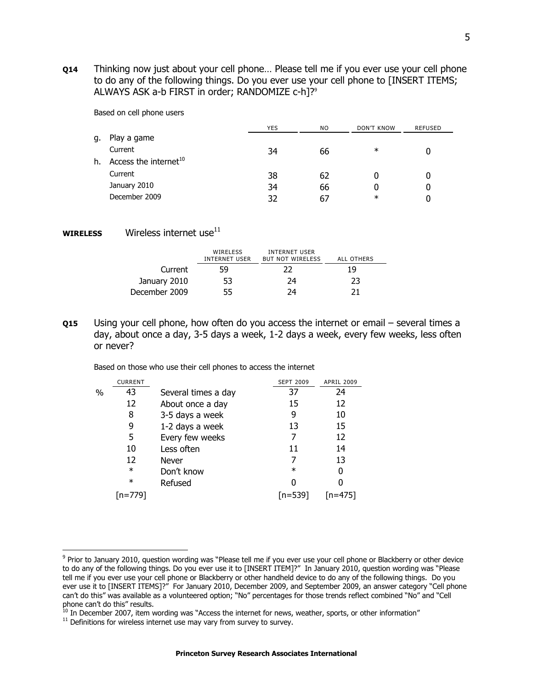**Q14** Thinking now just about your cell phone… Please tell me if you ever use your cell phone to do any of the following things. Do you ever use your cell phone to [INSERT ITEMS; ALWAYS ASK a-b FIRST in order; RANDOMIZE c-h]?<sup>9</sup>

Based on cell phone users

|    |                                   | <b>YES</b> | NO. | <b>DON'T KNOW</b> | <b>REFUSED</b> |
|----|-----------------------------------|------------|-----|-------------------|----------------|
| g. | Play a game                       |            |     |                   |                |
|    | Current                           | 34         | 66  | $\ast$            |                |
| h. | Access the internet <sup>10</sup> |            |     |                   |                |
|    | Current                           | 38         | 62  |                   |                |
|    | January 2010                      | 34         | 66  |                   |                |
|    | December 2009                     | 37         | 67  | $\ast$            |                |

 **Wireless internet use<sup>11</sup>** 

|               | WIRELESS<br>INTERNET USER | <b>INTERNET USER</b><br><b>BUT NOT WIRELESS</b> | ALL OTHERS |  |
|---------------|---------------------------|-------------------------------------------------|------------|--|
| Current       | 59                        | 22                                              | 19         |  |
| January 2010  | 53                        | 24                                              | 23         |  |
| December 2009 | 55                        | 24                                              |            |  |

**Q15** Using your cell phone, how often do you access the internet or email – several times a day, about once a day, 3-5 days a week, 1-2 days a week, every few weeks, less often or never?

Based on those who use their cell phones to access the internet

|   | <b>CURRENT</b> |                     | <b>SEPT 2009</b> | <b>APRIL 2009</b> |
|---|----------------|---------------------|------------------|-------------------|
| % | 43             | Several times a day | 37               | 24                |
|   | 12             | About once a day    | 15               | 12                |
|   | 8              | 3-5 days a week     | 9                | 10                |
|   | 9              | 1-2 days a week     | 13               | 15                |
|   | 5              | Every few weeks     |                  | 12                |
|   | 10             | Less often          | 11               | 14                |
|   | 12             | Never               |                  | 13                |
|   | $\ast$         | Don't know          | $\ast$           | 0                 |
|   | $\ast$         | Refused             | ŋ                |                   |
|   |                |                     | $[n=539]$        | rn=4751           |

 $\overline{a}$ 

<sup>&</sup>lt;sup>9</sup> Prior to January 2010, question wording was "Please tell me if you ever use your cell phone or Blackberry or other device to do any of the following things. Do you ever use it to [INSERT ITEM]?" In January 2010, question wording was "Please tell me if you ever use your cell phone or Blackberry or other handheld device to do any of the following things. Do you ever use it to [INSERT ITEMS]?" For January 2010, December 2009, and September 2009, an answer category "Cell phone can't do this" was available as a volunteered option; "No" percentages for those trends reflect combined "No" and "Cell phone can't do this" results.

 $^{10}$  In December 2007, item wording was "Access the internet for news, weather, sports, or other information"

 $11$  Definitions for wireless internet use may vary from survey to survey.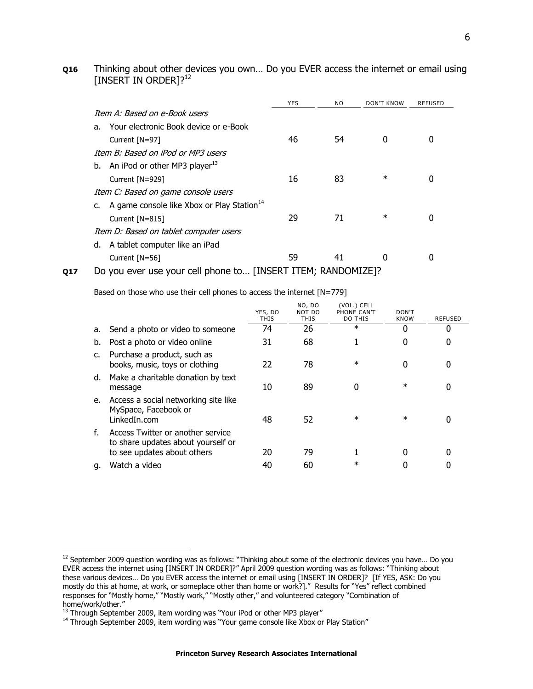### **Q16** Thinking about other devices you own… Do you EVER access the internet or email using [INSERT IN ORDER]?<sup>12</sup>

|    |                                                        | <b>YES</b> | <b>NO</b> | DON'T KNOW | <b>REFUSED</b> |
|----|--------------------------------------------------------|------------|-----------|------------|----------------|
|    | Item A: Based on e-Book users                          |            |           |            |                |
| a. | Your electronic Book device or e-Book                  |            |           |            |                |
|    | Current [N=97]                                         | 46         | 54        | 0          |                |
|    | Item B: Based on iPod or MP3 users                     |            |           |            |                |
| b. | An iPod or other MP3 player <sup>13</sup>              |            |           |            |                |
|    | Current [N=929]                                        | 16         | 83        | $\ast$     |                |
|    | Item C: Based on game console users                    |            |           |            |                |
|    | A game console like Xbox or Play Station <sup>14</sup> |            |           |            |                |
|    | Current $[N=815]$                                      | 29         | 71        | $\ast$     |                |
|    | Item D: Based on tablet computer users                 |            |           |            |                |
| d. | A tablet computer like an iPad                         |            |           |            |                |
|    | Current $[N=56]$                                       | 59         | 41        |            |                |
|    | بالمستحمل والمصادر ومنتصر والمستحدث<br>n.              |            |           |            |                |

**Q17** Do you ever use your cell phone to... [INSERT ITEM; RANDOMIZE]?

Based on those who use their cell phones to access the internet [N=779]

|             |                                                                                                        | YES, DO<br>THIS | NO, DO<br>NOT DO<br><b>THIS</b> | (VOL.) CELL<br>PHONE CAN'T<br><b>DO THIS</b> | DON'T<br><b>KNOW</b> | <b>REFUSED</b> |
|-------------|--------------------------------------------------------------------------------------------------------|-----------------|---------------------------------|----------------------------------------------|----------------------|----------------|
| а.          | Send a photo or video to someone                                                                       | 74              | 26                              | $\ast$                                       | 0                    |                |
| b.          | Post a photo or video online                                                                           | 31              | 68                              |                                              | 0                    |                |
| $c_{\cdot}$ | Purchase a product, such as<br>books, music, toys or clothing                                          | 22              | 78                              | $\ast$                                       | 0                    |                |
| d.          | Make a charitable donation by text<br>message                                                          | 10              | 89                              | 0                                            | $\ast$               |                |
| e.          | Access a social networking site like<br>MySpace, Facebook or<br>LinkedIn.com                           | 48              | 52                              | $\ast$                                       | $\ast$               |                |
| f.          | Access Twitter or another service<br>to share updates about yourself or<br>to see updates about others | 20              | 79                              |                                              | 0                    |                |
| q.          | Watch a video                                                                                          | 40              | 60                              | $\ast$                                       |                      |                |
|             |                                                                                                        |                 |                                 |                                              |                      |                |

 $\overline{a}$ 

 $^{12}$  September 2009 question wording was as follows: "Thinking about some of the electronic devices you have... Do you EVER access the internet using [INSERT IN ORDER]?" April 2009 question wording was as follows: "Thinking about these various devices… Do you EVER access the internet or email using [INSERT IN ORDER]? [If YES, ASK: Do you mostly do this at home, at work, or someplace other than home or work?]." Results for "Yes" reflect combined responses for "Mostly home," "Mostly work," "Mostly other," and volunteered category "Combination of home/work/other."

<sup>&</sup>lt;sup>13</sup> Through September 2009, item wording was "Your iPod or other MP3 player"

<sup>&</sup>lt;sup>14</sup> Through September 2009, item wording was "Your game console like Xbox or Play Station"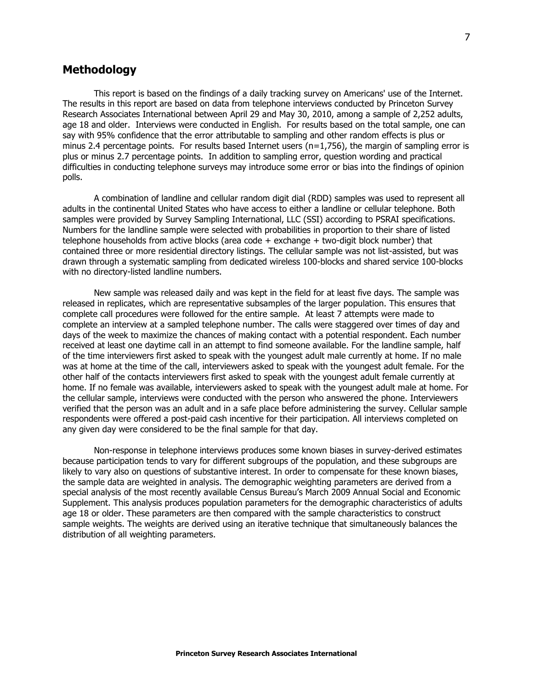# **Methodology**

This report is based on the findings of a daily tracking survey on Americans' use of the Internet. The results in this report are based on data from telephone interviews conducted by Princeton Survey Research Associates International between April 29 and May 30, 2010, among a sample of 2,252 adults, age 18 and older. Interviews were conducted in English. For results based on the total sample, one can say with 95% confidence that the error attributable to sampling and other random effects is plus or minus 2.4 percentage points. For results based Internet users  $(n=1,756)$ , the margin of sampling error is plus or minus 2.7 percentage points. In addition to sampling error, question wording and practical difficulties in conducting telephone surveys may introduce some error or bias into the findings of opinion polls.

A combination of landline and cellular random digit dial (RDD) samples was used to represent all adults in the continental United States who have access to either a landline or cellular telephone. Both samples were provided by Survey Sampling International, LLC (SSI) according to PSRAI specifications. Numbers for the landline sample were selected with probabilities in proportion to their share of listed telephone households from active blocks (area code + exchange + two-digit block number) that contained three or more residential directory listings. The cellular sample was not list-assisted, but was drawn through a systematic sampling from dedicated wireless 100-blocks and shared service 100-blocks with no directory-listed landline numbers.

New sample was released daily and was kept in the field for at least five days. The sample was released in replicates, which are representative subsamples of the larger population. This ensures that complete call procedures were followed for the entire sample. At least 7 attempts were made to complete an interview at a sampled telephone number. The calls were staggered over times of day and days of the week to maximize the chances of making contact with a potential respondent. Each number received at least one daytime call in an attempt to find someone available. For the landline sample, half of the time interviewers first asked to speak with the youngest adult male currently at home. If no male was at home at the time of the call, interviewers asked to speak with the youngest adult female. For the other half of the contacts interviewers first asked to speak with the youngest adult female currently at home. If no female was available, interviewers asked to speak with the youngest adult male at home. For the cellular sample, interviews were conducted with the person who answered the phone. Interviewers verified that the person was an adult and in a safe place before administering the survey. Cellular sample respondents were offered a post-paid cash incentive for their participation. All interviews completed on any given day were considered to be the final sample for that day.

Non-response in telephone interviews produces some known biases in survey-derived estimates because participation tends to vary for different subgroups of the population, and these subgroups are likely to vary also on questions of substantive interest. In order to compensate for these known biases, the sample data are weighted in analysis. The demographic weighting parameters are derived from a special analysis of the most recently available Census Bureau's March 2009 Annual Social and Economic Supplement. This analysis produces population parameters for the demographic characteristics of adults age 18 or older. These parameters are then compared with the sample characteristics to construct sample weights. The weights are derived using an iterative technique that simultaneously balances the distribution of all weighting parameters.